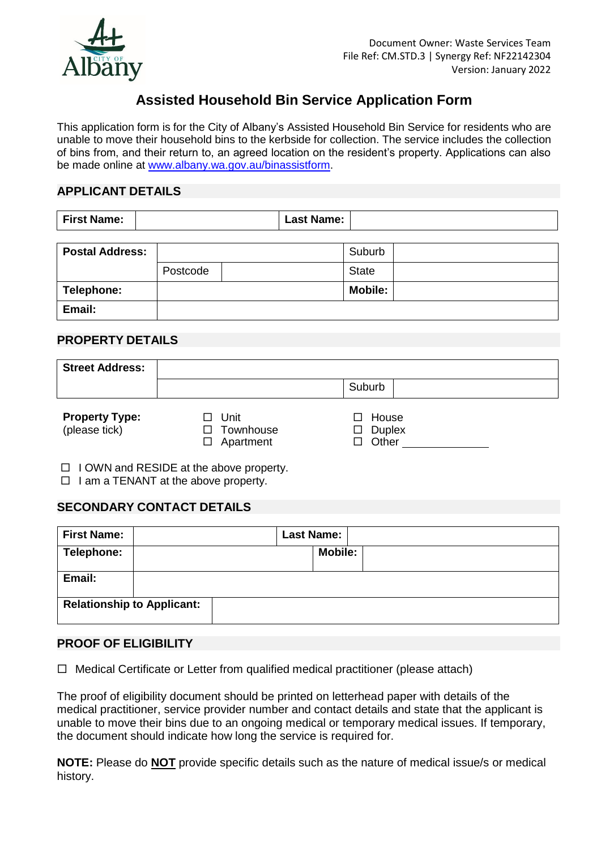

# **Assisted Household Bin Service Application Form**

This application form is for the City of Albany's Assisted Household Bin Service for residents who are unable to move their household bins to the kerbside for collection. The service includes the collection of bins from, and their return to, an agreed location on the resident's property. Applications can also be made online at [www.albany.wa.gov.au/binassistform.](http://www.albany.wa.gov.au/binassistform)

# **APPLICANT DETAILS**

| <b>First Name:</b><br><b>Last Name:</b> |  |  |  |  |  |
|-----------------------------------------|--|--|--|--|--|
|-----------------------------------------|--|--|--|--|--|

| <b>Postal Address:</b> |          | Suburb         |  |
|------------------------|----------|----------------|--|
|                        | Postcode | <b>State</b>   |  |
| Telephone:             |          | <b>Mobile:</b> |  |
| Email:                 |          |                |  |

### **PROPERTY DETAILS**

| <b>Street Address:</b>                 |                                                               |                                 |
|----------------------------------------|---------------------------------------------------------------|---------------------------------|
|                                        |                                                               | Suburb                          |
| <b>Property Type:</b><br>(please tick) | Unit<br>$\mathsf{L}$<br>Townhouse<br>$\Box$<br>Apartment<br>П | House<br><b>Duplex</b><br>Other |

 $\Box$  I OWN and RESIDE at the above property.

 $\Box$  I am a TENANT at the above property.

### **SECONDARY CONTACT DETAILS**

| <b>First Name:</b>                |  | <b>Last Name:</b> |                |  |
|-----------------------------------|--|-------------------|----------------|--|
| Telephone:                        |  |                   | <b>Mobile:</b> |  |
| Email:                            |  |                   |                |  |
| <b>Relationship to Applicant:</b> |  |                   |                |  |

### **PROOF OF ELIGIBILITY**

 $\Box$  Medical Certificate or Letter from qualified medical practitioner (please attach)

The proof of eligibility document should be printed on letterhead paper with details of the medical practitioner, service provider number and contact details and state that the applicant is unable to move their bins due to an ongoing medical or temporary medical issues. If temporary, the document should indicate how long the service is required for.

**NOTE:** Please do **NOT** provide specific details such as the nature of medical issue/s or medical history.